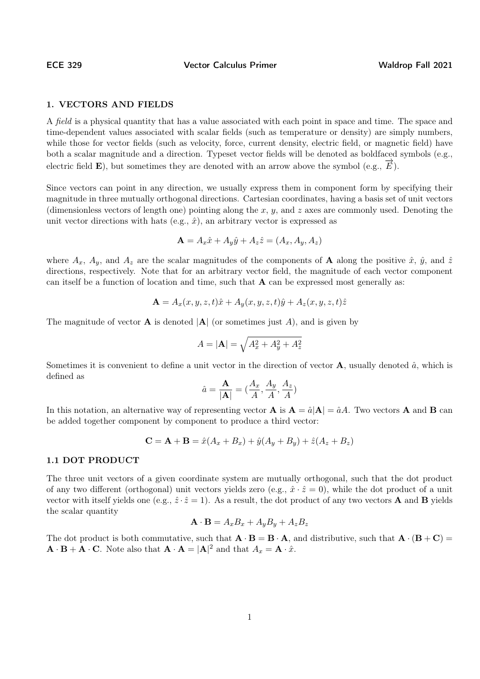ECE 329 Vector Calculus Primer Waldrop Fall 2021

# 1. VECTORS AND FIELDS

A *field* is a physical quantity that has a value associated with each point in space and time. The space and time-dependent values associated with scalar fields (such as temperature or density) are simply numbers, while those for vector fields (such as velocity, force, current density, electric field, or magnetic field) have both a scalar magnitude and a direction. Typeset vector fields will be denoted as boldfaced symbols (e.g., electric field **E**), but sometimes they are denoted with an arrow above the symbol (e.g.,  $\vec{E}$ ).

Since vectors can point in any direction, we usually express them in component form by specifying their magnitude in three mutually orthogonal directions. Cartesian coordinates, having a basis set of unit vectors (dimensionless vectors of length one) pointing along the x, y, and z axes are commonly used. Denoting the unit vector directions with hats (e.g.,  $\hat{x}$ ), an arbitrary vector is expressed as

$$
\mathbf{A} = A_x \hat{x} + A_y \hat{y} + A_z \hat{z} = (A_x, A_y, A_z)
$$

where  $A_x$ ,  $A_y$ , and  $A_z$  are the scalar magnitudes of the components of **A** along the positive  $\hat{x}$ ,  $\hat{y}$ , and  $\hat{z}$ directions, respectively. Note that for an arbitrary vector field, the magnitude of each vector component can itself be a function of location and time, such that  $\bf{A}$  can be expressed most generally as:

$$
\mathbf{A} = A_x(x, y, z, t)\hat{x} + A_y(x, y, z, t)\hat{y} + A_z(x, y, z, t)\hat{z}
$$

The magnitude of vector **A** is denoted  $|A|$  (or sometimes just A), and is given by

$$
A = |\mathbf{A}| = \sqrt{A_x^2 + A_y^2 + A_z^2}
$$

Sometimes it is convenient to define a unit vector in the direction of vector  $\bf{A}$ , usually denoted  $\hat{a}$ , which is defined as

$$
\hat{a} = \frac{\mathbf{A}}{|\mathbf{A}|} = (\frac{A_x}{A}, \frac{A_y}{A}, \frac{A_z}{A})
$$

In this notation, an alternative way of representing vector **A** is  $A = \hat{a}|A| = \hat{a}A$ . Two vectors **A** and **B** can be added together component by component to produce a third vector:

$$
C = A + B = \hat{x}(A_x + B_x) + \hat{y}(A_y + B_y) + \hat{z}(A_z + B_z)
$$

## 1.1 DOT PRODUCT

The three unit vectors of a given coordinate system are mutually orthogonal, such that the dot product of any two different (orthogonal) unit vectors yields zero (e.g.,  $\hat{x} \cdot \hat{z} = 0$ ), while the dot product of a unit vector with itself yields one (e.g.,  $\hat{z} \cdot \hat{z} = 1$ ). As a result, the dot product of any two vectors **A** and **B** yields the scalar quantity

$$
\mathbf{A} \cdot \mathbf{B} = A_x B_x + A_y B_y + A_z B_z
$$

The dot product is both commutative, such that  $\mathbf{A} \cdot \mathbf{B} = \mathbf{B} \cdot \mathbf{A}$ , and distributive, such that  $\mathbf{A} \cdot (\mathbf{B} + \mathbf{C}) =$  $\mathbf{A} \cdot \mathbf{B} + \mathbf{A} \cdot \mathbf{C}$ . Note also that  $\mathbf{A} \cdot \mathbf{A} = |\mathbf{A}|^2$  and that  $A_x = \mathbf{A} \cdot \hat{x}$ .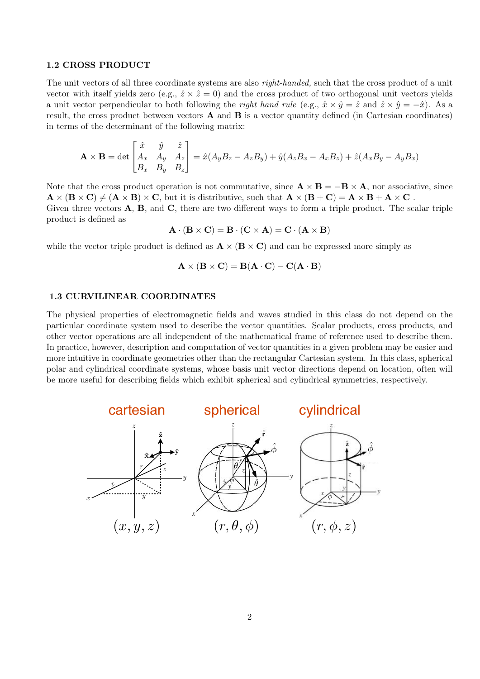#### 1.2 CROSS PRODUCT

The unit vectors of all three coordinate systems are also *right-handed*, such that the cross product of a unit vector with itself yields zero (e.g.,  $\hat{z} \times \hat{z} = 0$ ) and the cross product of two orthogonal unit vectors yields a unit vector perpendicular to both following the right hand rule (e.g.,  $\hat{x} \times \hat{y} = \hat{z}$  and  $\hat{z} \times \hat{y} = -\hat{x}$ ). As a result, the cross product between vectors  $\bf{A}$  and  $\bf{B}$  is a vector quantity defined (in Cartesian coordinates) in terms of the determinant of the following matrix:

$$
\mathbf{A} \times \mathbf{B} = \det \begin{bmatrix} \hat{x} & \hat{y} & \hat{z} \\ A_x & A_y & A_z \\ B_x & B_y & B_z \end{bmatrix} = \hat{x}(A_yB_z - A_zB_y) + \hat{y}(A_zB_x - A_xB_z) + \hat{z}(A_xB_y - A_yB_x)
$$

Note that the cross product operation is not commutative, since  $\mathbf{A} \times \mathbf{B} = -\mathbf{B} \times \mathbf{A}$ , nor associative, since  $\mathbf{A} \times (\mathbf{B} \times \mathbf{C}) \neq (\mathbf{A} \times \mathbf{B}) \times \mathbf{C}$ , but it is distributive, such that  $\mathbf{A} \times (\mathbf{B} + \mathbf{C}) = \mathbf{A} \times \mathbf{B} + \mathbf{A} \times \mathbf{C}$ . Given three vectors  $\bf{A}$ ,  $\bf{B}$ , and  $\bf{C}$ , there are two different ways to form a triple product. The scalar triple product is defined as

$$
\mathbf{A} \cdot (\mathbf{B} \times \mathbf{C}) = \mathbf{B} \cdot (\mathbf{C} \times \mathbf{A}) = \mathbf{C} \cdot (\mathbf{A} \times \mathbf{B})
$$

while the vector triple product is defined as  $\mathbf{A} \times (\mathbf{B} \times \mathbf{C})$  and can be expressed more simply as

$$
\mathbf{A} \times (\mathbf{B} \times \mathbf{C}) = \mathbf{B}(\mathbf{A} \cdot \mathbf{C}) - \mathbf{C}(\mathbf{A} \cdot \mathbf{B})
$$

## 1.3 CURVILINEAR COORDINATES

The physical properties of electromagnetic fields and waves studied in this class do not depend on the particular coordinate system used to describe the vector quantities. Scalar products, cross products, and other vector operations are all independent of the mathematical frame of reference used to describe them. In practice, however, description and computation of vector quantities in a given problem may be easier and more intuitive in coordinate geometries other than the rectangular Cartesian system. In this class, spherical polar and cylindrical coordinate systems, whose basis unit vector directions depend on location, often will be more useful for describing fields which exhibit spherical and cylindrical symmetries, respectively.

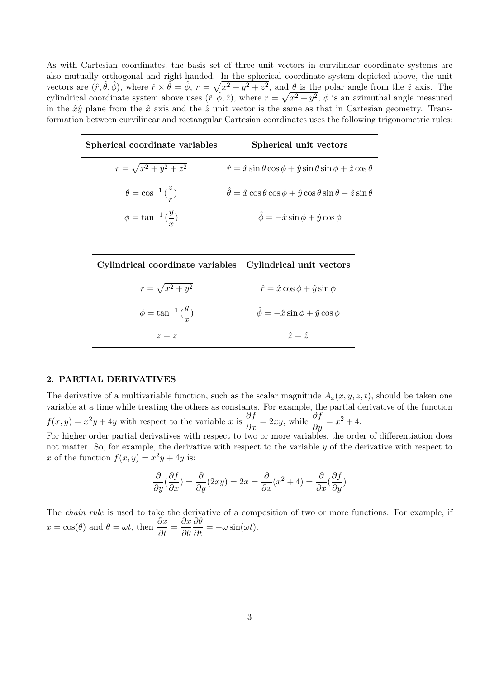As with Cartesian coordinates, the basis set of three unit vectors in curvilinear coordinate systems are also mutually orthogonal and right-handed. In the spherical coordinate system depicted above, the unit vectors are  $(\hat{r}, \hat{\theta}, \hat{\phi})$ , where  $\hat{r} \times \hat{\theta} = \hat{\phi}$ ,  $r = \sqrt{x^2 + y^2 + z^2}$ , and  $\theta$  is the polar angle from the  $\hat{z}$  axis. The cylindrical coordinate system above uses  $(\hat{r}, \hat{\phi}, \hat{z})$ , where  $r = \sqrt{x^2 + y^2}$ ,  $\phi$  is an azimuthal angle measured in the  $\hat{x}\hat{y}$  plane from the  $\hat{x}$  axis and the  $\hat{z}$  unit vector is the same as that in Cartesian geometry. Transformation between curvilinear and rectangular Cartesian coordinates uses the following trigonometric rules:

| Spherical coordinate variables             | Spherical unit vectors                                                                                 |
|--------------------------------------------|--------------------------------------------------------------------------------------------------------|
| $r = \sqrt{x^2 + y^2 + z^2}$               | $\hat{r} = \hat{x}\sin\theta\cos\phi + \hat{y}\sin\theta\sin\phi + \hat{z}\cos\theta$                  |
| $\theta = \cos^{-1}(\frac{z}{r})$          | $\hat{\theta} = \hat{x} \cos \theta \cos \phi + \hat{y} \cos \theta \sin \theta - \hat{z} \sin \theta$ |
| $\phi = \tan^{-1}\left(\frac{y}{x}\right)$ | $\hat{\phi} = -\hat{x}\sin\phi + \hat{y}\cos\phi$                                                      |

| Cylindrical coordinate variables Cylindrical unit vectors |                                                   |
|-----------------------------------------------------------|---------------------------------------------------|
| $r = \sqrt{x^2 + y^2}$                                    | $\hat{r} = \hat{x} \cos \phi + \hat{y} \sin \phi$ |
| $\phi = \tan^{-1}\left(\frac{y}{x}\right)$                | $\hat{\phi} = -\hat{x}\sin\phi + \hat{y}\cos\phi$ |
| $z = z$                                                   | $\hat{z}=\hat{z}$                                 |

## 2. PARTIAL DERIVATIVES

The derivative of a multivariable function, such as the scalar magnitude  $A_x(x, y, z, t)$ , should be taken one variable at a time while treating the others as constants. For example, the partial derivative of the function  $f(x,y) = x^2y + 4y$  with respect to the variable x is  $\frac{\partial f}{\partial x} = 2xy$ , while  $\frac{\partial f}{\partial y} = x^2 + 4$ .

For higher order partial derivatives with respect to two or more variables, the order of differentiation does not matter. So, for example, the derivative with respect to the variable  $y$  of the derivative with respect to x of the function  $f(x, y) = x^2y + 4y$  is:

$$
\frac{\partial}{\partial y}(\frac{\partial f}{\partial x}) = \frac{\partial}{\partial y}(2xy) = 2x = \frac{\partial}{\partial x}(x^2 + 4) = \frac{\partial}{\partial x}(\frac{\partial f}{\partial y})
$$

The chain rule is used to take the derivative of a composition of two or more functions. For example, if  $x = \cos(\theta)$  and  $\theta = \omega t$ , then  $\frac{\partial x}{\partial t} = \frac{\partial x}{\partial \theta}$ ∂θ  $\frac{\partial \theta}{\partial t} = -\omega \sin(\omega t).$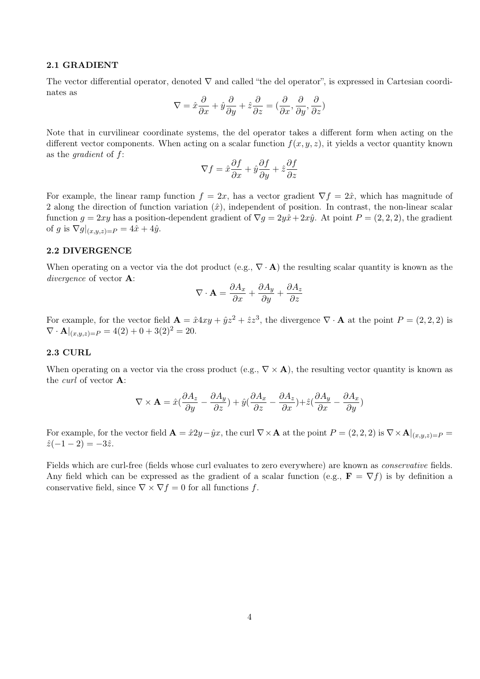#### 2.1 GRADIENT

The vector differential operator, denoted  $\nabla$  and called "the del operator", is expressed in Cartesian coordinates as

$$
\nabla = \hat{x}\frac{\partial}{\partial x} + \hat{y}\frac{\partial}{\partial y} + \hat{z}\frac{\partial}{\partial z} = (\frac{\partial}{\partial x}, \frac{\partial}{\partial y}, \frac{\partial}{\partial z})
$$

Note that in curvilinear coordinate systems, the del operator takes a different form when acting on the different vector components. When acting on a scalar function  $f(x, y, z)$ , it yields a vector quantity known as the gradient of f:

$$
\nabla f = \hat{x}\frac{\partial f}{\partial x} + \hat{y}\frac{\partial f}{\partial y} + \hat{z}\frac{\partial f}{\partial z}
$$

For example, the linear ramp function  $f = 2x$ , has a vector gradient  $\nabla f = 2\hat{x}$ , which has magnitude of 2 along the direction of function variation  $(\hat{x})$ , independent of position. In contrast, the non-linear scalar function  $g = 2xy$  has a position-dependent gradient of  $\nabla g = 2y\hat{x} + 2x\hat{y}$ . At point  $P = (2, 2, 2)$ , the gradient of g is  $\nabla g|_{(x,y,z)=P} = 4\hat{x} + 4\hat{y}$ .

# 2.2 DIVERGENCE

When operating on a vector via the dot product (e.g.,  $\nabla \cdot \mathbf{A}$ ) the resulting scalar quantity is known as the divergence of vector **A**:

$$
\nabla \cdot \mathbf{A} = \frac{\partial A_x}{\partial x} + \frac{\partial A_y}{\partial y} + \frac{\partial A_z}{\partial z}
$$

For example, for the vector field  $\mathbf{A} = \hat{x} 4xy + \hat{y}z^2 + \hat{z}z^3$ , the divergence  $\nabla \cdot \mathbf{A}$  at the point  $P = (2, 2, 2)$  is  $\nabla \cdot \mathbf{A}|_{(x,y,z)=P} = 4(2) + 0 + 3(2)^2 = 20.$ 

### 2.3 CURL

When operating on a vector via the cross product (e.g.,  $\nabla \times \mathbf{A}$ ), the resulting vector quantity is known as the *curl* of vector **A**:

$$
\nabla \times \mathbf{A} = \hat{x} \left( \frac{\partial A_z}{\partial y} - \frac{\partial A_y}{\partial z} \right) + \hat{y} \left( \frac{\partial A_x}{\partial z} - \frac{\partial A_z}{\partial x} \right) + \hat{z} \left( \frac{\partial A_y}{\partial x} - \frac{\partial A_x}{\partial y} \right)
$$

For example, for the vector field  $\mathbf{A} = \hat{x}2y-\hat{y}x$ , the curl  $\nabla \times \mathbf{A}$  at the point  $P = (2,2,2)$  is  $\nabla \times \mathbf{A}|_{(x,y,z)=P}$  $\hat{z}(-1-2) = -3\hat{z}.$ 

Fields which are curl-free (fields whose curl evaluates to zero everywhere) are known as conservative fields. Any field which can be expressed as the gradient of a scalar function (e.g.,  $\mathbf{F} = \nabla f$ ) is by definition a conservative field, since  $\nabla \times \nabla f = 0$  for all functions f.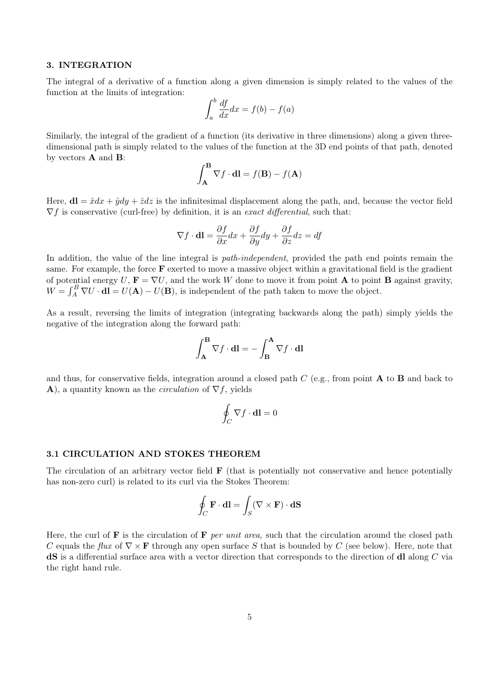#### 3. INTEGRATION

The integral of a derivative of a function along a given dimension is simply related to the values of the function at the limits of integration:

$$
\int_{a}^{b} \frac{df}{dx} dx = f(b) - f(a)
$$

Similarly, the integral of the gradient of a function (its derivative in three dimensions) along a given threedimensional path is simply related to the values of the function at the 3D end points of that path, denoted by vectors  $\bf{A}$  and  $\bf{B}$ :

$$
\int_{\mathbf{A}}^{\mathbf{B}} \nabla f \cdot \mathbf{dl} = f(\mathbf{B}) - f(\mathbf{A})
$$

Here,  $d\mathbf{l} = \hat{x}dx + \hat{y}dy + \hat{z}dz$  is the infinitesimal displacement along the path, and, because the vector field  $\nabla f$  is conservative (curl-free) by definition, it is an exact differential, such that:

$$
\nabla f \cdot \mathbf{dl} = \frac{\partial f}{\partial x} dx + \frac{\partial f}{\partial y} dy + \frac{\partial f}{\partial z} dz = df
$$

In addition, the value of the line integral is *path-independent*, provided the path end points remain the same. For example, the force  $\bf{F}$  exerted to move a massive object within a gravitational field is the gradient of potential energy U,  $\mathbf{F} = \nabla U$ , and the work W done to move it from point **A** to point **B** against gravity,  $W = \int_A^B \nabla U \cdot d\mathbf{l} = U(\mathbf{A}) - U(\mathbf{B})$ , is independent of the path taken to move the object.

As a result, reversing the limits of integration (integrating backwards along the path) simply yields the negative of the integration along the forward path:

$$
\int_{\mathbf{A}}^{\mathbf{B}} \nabla f \cdot \mathbf{dl} = -\int_{\mathbf{B}}^{\mathbf{A}} \nabla f \cdot \mathbf{dl}
$$

and thus, for conservative fields, integration around a closed path  $C$  (e.g., from point **A** to **B** and back to A), a quantity known as the *circulation* of  $\nabla f$ , yields

$$
\oint_C \nabla f \cdot \mathbf{dl} = 0
$$

# 3.1 CIRCULATION AND STOKES THEOREM

The circulation of an arbitrary vector field  $\bf{F}$  (that is potentially not conservative and hence potentially has non-zero curl) is related to its curl via the Stokes Theorem:

$$
\oint_C \mathbf{F} \cdot \mathbf{dl} = \int_S (\nabla \times \mathbf{F}) \cdot \mathbf{dS}
$$

Here, the curl of  $\bf{F}$  is the circulation of  $\bf{F}$  per unit area, such that the circulation around the closed path C equals the flux of  $\nabla \times \mathbf{F}$  through any open surface S that is bounded by C (see below). Here, note that dS is a differential surface area with a vector direction that corresponds to the direction of dl along C via the right hand rule.